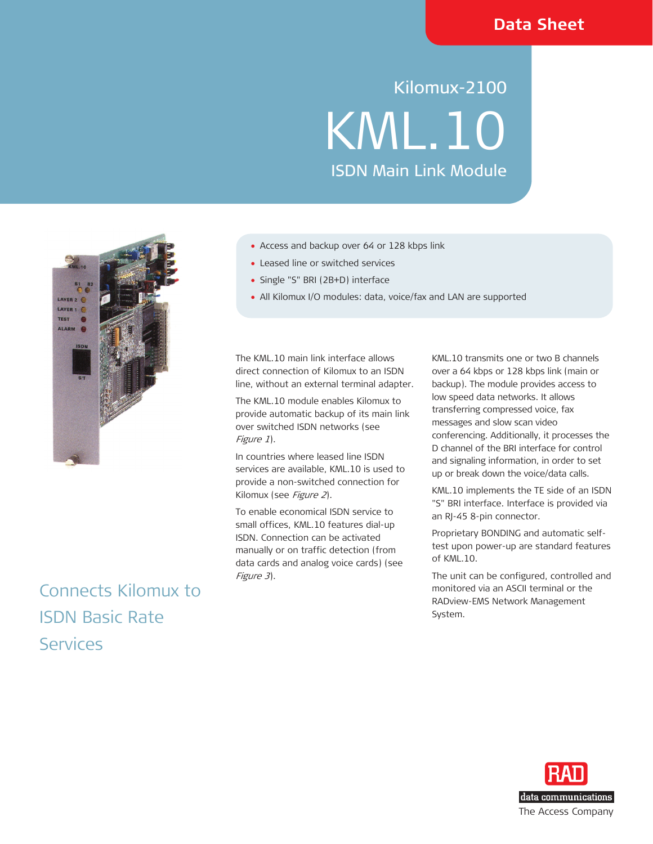# Kilomux-2100 KML.10 ISDN Main Link Module



Connects Kilomux to ISDN Basic Rate Services

- Access and backup over 64 or 128 kbps link
- Leased line or switched services
- Single "S" BRI (2B+D) interface
- All Kilomux I/O modules: data, voice/fax and LAN are supported

The KML.10 main link interface allows direct connection of Kilomux to an ISDN line, without an external terminal adapter.

The KML.10 module enables Kilomux to provide automatic backup of its main link over switched ISDN networks (see Figure 1).

In countries where leased line ISDN services are available, KML.10 is used to provide a non-switched connection for Kilomux (see Figure 2).

To enable economical ISDN service to small offices, KML.10 features dial-up ISDN. Connection can be activated manually or on traffic detection (from data cards and analog voice cards) (see Figure 3).

KML.10 transmits one or two B channels over a 64 kbps or 128 kbps link (main or backup). The module provides access to low speed data networks. It allows transferring compressed voice, fax messages and slow scan video conferencing. Additionally, it processes the D channel of the BRI interface for control

and signaling information, in order to set up or break down the voice/data calls.

KML.10 implements the TE side of an ISDN "S" BRI interface. Interface is provided via an RJ-45 8-pin connector.

Proprietary BONDING and automatic selftest upon power-up are standard features of KML.10.

The unit can be configured, controlled and monitored via an ASCII terminal or the RADview-EMS Network Management System.

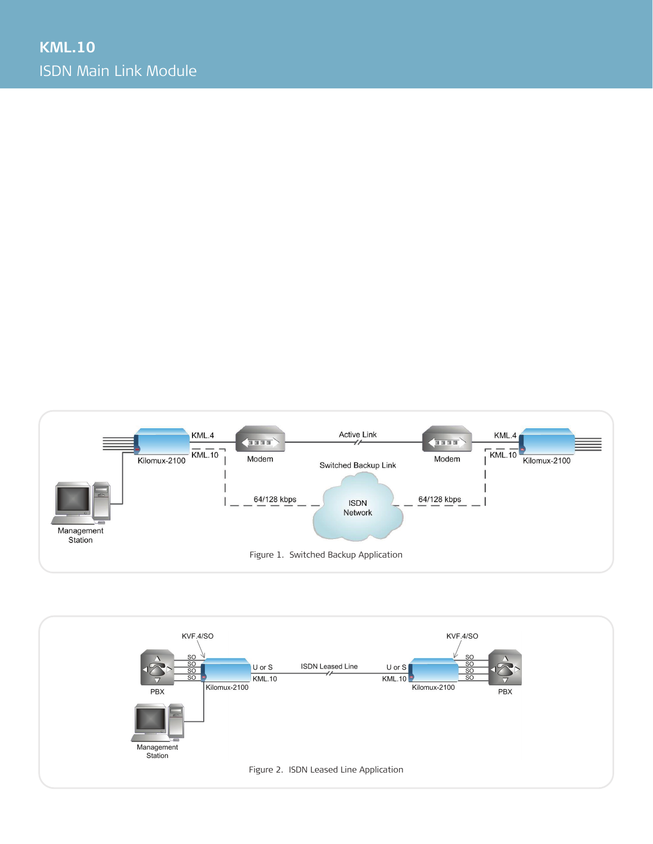

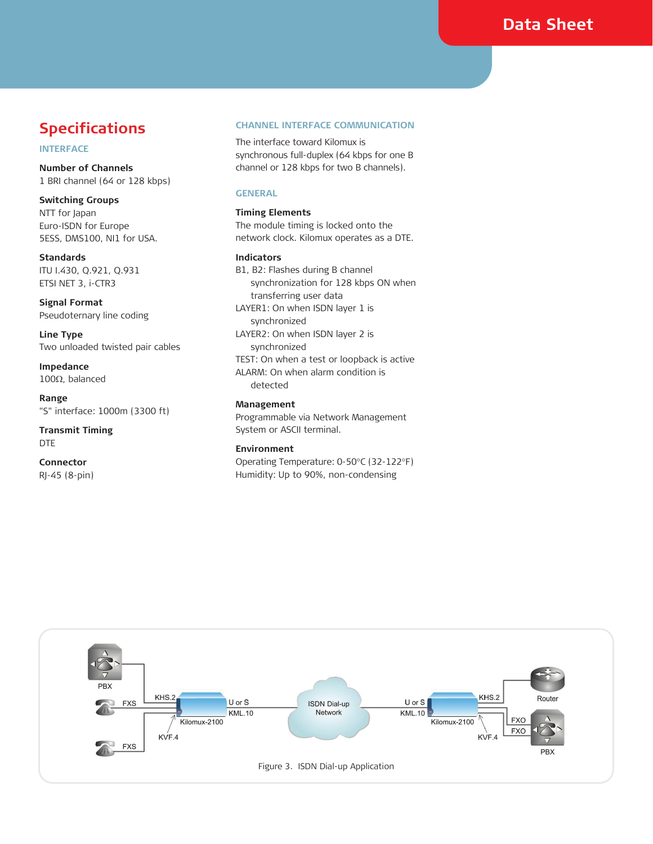### **INTERFACE**

**Number of Channels**  1 BRI channel (64 or 128 kbps)

**GENERAL Switching Groups**  NTT for Japan **Timing Elements** Euro-ISDN for Europe 5ESS, DMS100, NI1 for USA.

Standards **Indicators** ITU I.430, Q.921, Q.931 ETSI NET 3, i-CTR3

**Signal Format**  Pseudoternary line coding

**Line Type**  Two unloaded twisted pair cables

**Impedance**  100Ω, balanced

**Range Management 1000m (3300 ft) Management Management "S"** interface: 1000m (3300 ft)

DTE **Environment** 

**Connector**  RJ-45 (8-pin)

### **Specifications CHANNEL INTERFACE COMMUNICATION**

The interface toward Kilomux is synchronous full-duplex (64 kbps for one B channel or 128 kbps for two B channels).

The module timing is locked onto the network clock. Kilomux operates as a DTE.

B1, B2: Flashes during B channel synchronization for 128 kbps ON when transferring user data LAYER1: On when ISDN layer 1 is synchronized LAYER2: On when ISDN layer 2 is synchronized TEST: On when a test or loopback is active ALARM: On when alarm condition is detected

**Transmit Timing System or ASCII terminal.** 

Operating Temperature: 0-50°C (32-122°F) Humidity: Up to 90%, non-condensing